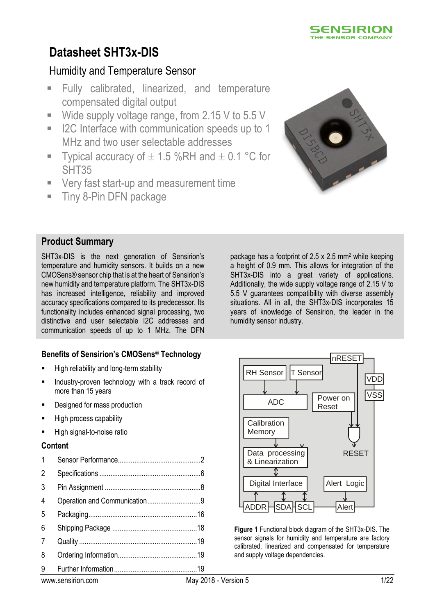

## Humidity and Temperature Sensor

- Fully calibrated, linearized, and temperature compensated digital output
- Wide supply voltage range, from  $2.15$  V to  $5.5$  V
- I2C Interface with communication speeds up to 1 MHz and two user selectable addresses
- Typical accuracy of  $\pm$  1.5 %RH and  $\pm$  0.1 °C for SHT35
- **Very fast start-up and measurement time**
- **Tiny 8-Pin DFN package**



### **Product Summary**

SHT3x-DIS is the next generation of Sensirion's temperature and humidity sensors. It builds on a new CMOSens® sensor chip that is at the heart of Sensirion's new humidity and temperature platform. The SHT3x-DIS has increased intelligence, reliability and improved accuracy specifications compared to its predecessor. Its functionality includes enhanced signal processing, two distinctive and user selectable I2C addresses and communication speeds of up to 1 MHz. The DFN

### **Benefits of Sensirion's CMOSens® Technology**

- High reliability and long-term stability
- Industry-proven technology with a track record of more than 15 years
- Designed for mass production
- High process capability
- **High signal-to-noise ratio**

#### **Content**

| $\mathbf 1$ |  |
|-------------|--|
| 2           |  |
| 3           |  |
| 4           |  |
| 5           |  |
| 6           |  |
| 7           |  |
| 8           |  |
| 9           |  |

package has a footprint of  $2.5 \times 2.5$  mm<sup>2</sup> while keeping a height of 0.9 mm. This allows for integration of the SHT3x-DIS into a great variety of applications. Additionally, the wide supply voltage range of 2.15 V to 5.5 V guarantees compatibility with diverse assembly situations. All in all, the SHT3x-DIS incorporates 15 years of knowledge of Sensirion, the leader in the humidity sensor industry.



**Figure 1** Functional block diagram of the SHT3x-DIS. The sensor signals for humidity and temperature are factory calibrated, linearized and compensated for temperature and supply voltage dependencies.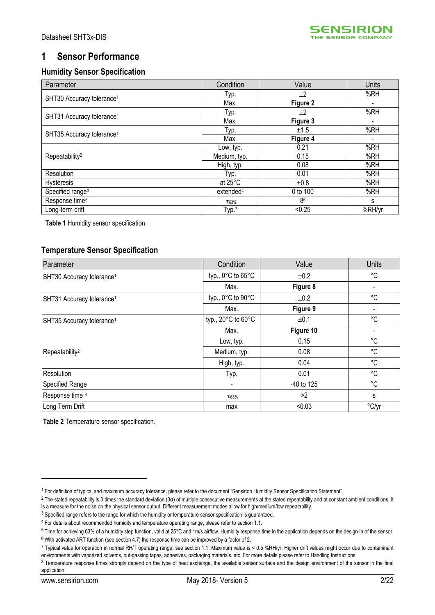

# <span id="page-1-0"></span>**1 Sensor Performance**

## **Humidity Sensor Specification**

<span id="page-1-1"></span>

| Parameter                             | Condition             | Value     | <b>Units</b> |
|---------------------------------------|-----------------------|-----------|--------------|
| SHT30 Accuracy tolerance <sup>1</sup> | Typ.                  | ±2        | %RH          |
|                                       | Max.                  | Figure 2  |              |
| SHT31 Accuracy tolerance <sup>1</sup> | Typ.                  | ±2        | %RH          |
|                                       | Max.                  | Figure 3  |              |
| SHT35 Accuracy tolerance <sup>1</sup> | Typ.                  | ±1.5      | %RH          |
|                                       | Max.                  | Figure 4  |              |
|                                       | Low, typ.             | 0.21      | %RH          |
| Repeatability <sup>2</sup>            | Medium, typ.          | 0.15      | %RH          |
|                                       | High, typ.            | 0.08      | %RH          |
| Resolution                            | Тур.                  | 0.01      | %RH          |
| Hysteresis                            | at 25°C               | $\pm 0.8$ | %RH          |
| Specified range <sup>3</sup>          | extended <sup>4</sup> | 0 to 100  | %RH          |
| Response time <sup>5</sup>            | T63%                  | 86        | s            |
| Long-term drift                       | Typ. <sup>7</sup>     | < 0.25    | %RH/yr       |

<span id="page-1-3"></span><span id="page-1-2"></span>**Table 1** Humidity sensor specification.

### **Temperature Sensor Specification**

| Parameter                             | Condition                              | Value        | <b>Units</b> |
|---------------------------------------|----------------------------------------|--------------|--------------|
| SHT30 Accuracy tolerance <sup>1</sup> | typ., $0^{\circ}$ C to $65^{\circ}$ C  | ±0.2         | °C           |
|                                       | Max.                                   | Figure 8     |              |
| SHT31 Accuracy tolerance <sup>1</sup> | typ., $0^{\circ}$ C to $90^{\circ}$ C  | ±0.2         | °C           |
|                                       | Max.                                   | Figure 9     |              |
| SHT35 Accuracy tolerance <sup>1</sup> | typ., $20^{\circ}$ C to $60^{\circ}$ C | ±0.1         | °C           |
|                                       | Max.                                   | Figure 10    |              |
|                                       | Low, typ.                              | 0.15         | °C           |
| Repeatability <sup>2</sup>            | Medium, typ.                           | 0.08         | °C           |
|                                       | High, typ.                             | 0.04         | °C           |
| Resolution                            | Typ.                                   | 0.01         | °C           |
| Specified Range                       |                                        | $-40$ to 125 | $^{\circ}C$  |
| Response time 8                       | T63%                                   | >2           | s            |
| Long Term Drift                       | max                                    | < 0.03       | °C/yr        |

<span id="page-1-4"></span>**Table 2** Temperature sensor specification.

<u>.</u>

<sup>1</sup> For definition of typical and maximum accuracy tolerance, please refer to the document "Sensirion Humidity Sensor Specification Statement".

<sup>&</sup>lt;sup>2</sup> The stated repeatability is 3 times the standard deviation (3σ) of multiple consecutive measurements at the stated repeatability and at constant ambient conditions. It is a measure for the noise on the physical sensor output. Different measurement modes allow for high/medium/low repeatability.

<sup>&</sup>lt;sup>3</sup> Specified range refers to the range for which the humidity or temperature sensor specification is guaranteed.

<sup>4</sup> For details about recommended humidity and temperature operating range, please refer to section [1.1.](#page-5-1)

<sup>&</sup>lt;sup>5</sup> Time for achieving 63% of a humidity step function, valid at 25°C and 1m/s airflow. Humidity response time in the application depends on the design-in of the sensor.

 $6$  With activated ART function (see sectio[n 4.7\)](#page-10-0) the response time can be improved by a factor of 2.

<sup>7</sup> Typical value for operation in normal RH/T operating range, see section [1.1.](#page-5-1) Maximum value is < 0.5 %RH/yr. Higher drift values might occur due to contaminant environments with vaporized solvents, out-gassing tapes, adhesives, packaging materials, etc. For more details please refer to Handling Instructions.

<sup>8</sup> Temperature response times strongly depend on the type of heat exchange, the available sensor surface and the design environment of the sensor in the final application.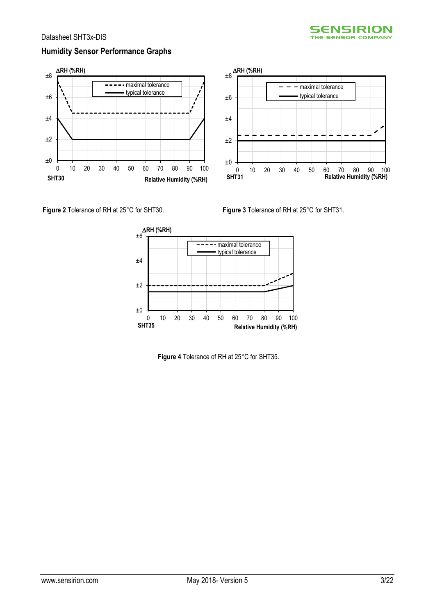

### **Humidity Sensor Performance Graphs**





<span id="page-2-0"></span>

<span id="page-2-1"></span>

<span id="page-2-2"></span>**Figure 4** Tolerance of RH at 25°C for SHT35.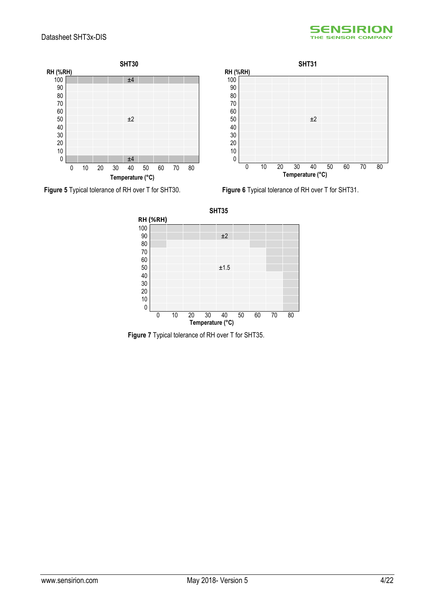







<span id="page-3-1"></span>**Figure 5** Typical tolerance of RH over T for SHT30. **Figure 6** Typical tolerance of RH over T for SHT31.



<span id="page-3-0"></span>**Figure 7** Typical tolerance of RH over T for SHT35.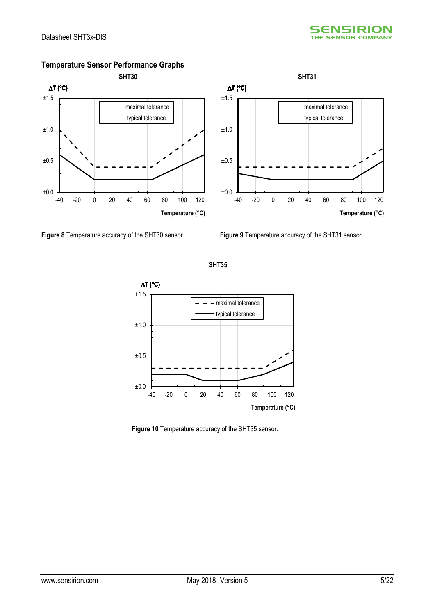

### **Temperature Sensor Performance Graphs**

<span id="page-4-0"></span>

<span id="page-4-1"></span>**SHT35**



<span id="page-4-2"></span>**Figure 10** Temperature accuracy of the SHT35 sensor.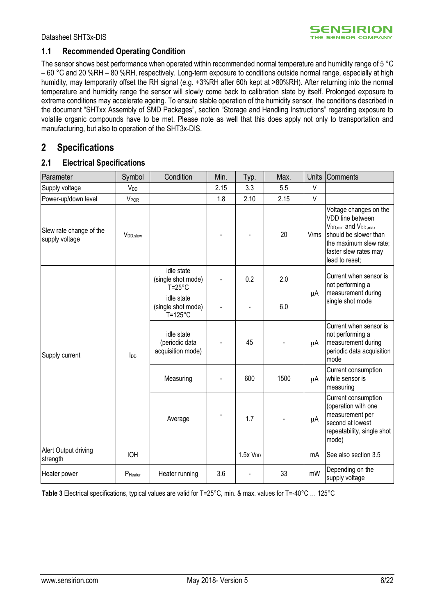### <span id="page-5-1"></span>**1.1 Recommended Operating Condition**

The sensor shows best performance when operated within recommended normal temperature and humidity range of 5 °C – 60 °C and 20 %RH – 80 %RH, respectively. Long-term exposure to conditions outside normal range, especially at high humidity, may temporarily offset the RH signal (e.g. +3%RH after 60h kept at >80%RH). After returning into the normal temperature and humidity range the sensor will slowly come back to calibration state by itself. Prolonged exposure to extreme conditions may accelerate ageing. To ensure stable operation of the humidity sensor, the conditions described in the document "SHTxx Assembly of SMD Packages", section "Storage and Handling Instructions" regarding exposure to volatile organic compounds have to be met. Please note as well that this does apply not only to transportation and manufacturing, but also to operation of the SHT3x-DIS.

### <span id="page-5-0"></span>**2 Specifications**

#### **2.1 Electrical Specifications**

| Parameter                                 | Symbol                 | Condition                                             | Min. | Typ.                | Max. | <b>Units</b> | Comments                                                                                                                                                                                   |
|-------------------------------------------|------------------------|-------------------------------------------------------|------|---------------------|------|--------------|--------------------------------------------------------------------------------------------------------------------------------------------------------------------------------------------|
| Supply voltage                            | <b>V<sub>DD</sub></b>  |                                                       | 2.15 | 3.3                 | 5.5  | $\vee$       |                                                                                                                                                                                            |
| Power-up/down level                       | V <sub>POR</sub>       |                                                       | 1.8  | 2.10                | 2.15 | V            |                                                                                                                                                                                            |
| Slew rate change of the<br>supply voltage | V <sub>DD</sub> , slew |                                                       |      |                     | 20   | V/ms         | Voltage changes on the<br>VDD line between<br>V <sub>DD, min</sub> and V <sub>DD</sub> , max<br>should be slower than<br>the maximum slew rate;<br>faster slew rates may<br>lead to reset; |
|                                           |                        | idle state<br>(single shot mode)<br>$T = 25^{\circ}C$ |      | 0.2                 | 2.0  |              | Current when sensor is<br>not performing a<br>measurement during                                                                                                                           |
|                                           | $I_{DD}$               | idle state<br>(single shot mode)<br>$T = 125$ °C      |      |                     | 6.0  | μA           | single shot mode                                                                                                                                                                           |
| Supply current                            |                        | idle state<br>(periodic data<br>acquisition mode)     |      | 45                  |      | μA           | Current when sensor is<br>not performing a<br>measurement during<br>periodic data acquisition<br>mode                                                                                      |
|                                           |                        | Measuring                                             |      | 600                 | 1500 | μA           | Current consumption<br>while sensor is<br>measuring                                                                                                                                        |
|                                           |                        | Average                                               |      | 1.7                 |      | μA           | Current consumption<br>(operation with one<br>measurement per<br>second at lowest<br>repeatability, single shot<br>mode)                                                                   |
| Alert Output driving<br>strength          | <b>IOH</b>             |                                                       |      | 1.5xV <sub>DD</sub> |      | mA           | See also section 3.5                                                                                                                                                                       |
| Heater power                              | P <sub>Heater</sub>    | Heater running                                        | 3.6  |                     | 33   | mW           | Depending on the<br>supply voltage                                                                                                                                                         |

<span id="page-5-2"></span>**Table 3** Electrical specifications, typical values are valid for T=25°C, min. & max. values for T=-40°C … 125°C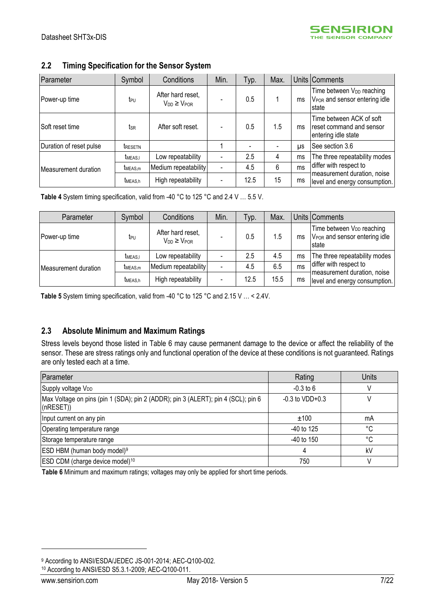### **2.2 Timing Specification for the Sensor System**

| Parameter               | Symbol              | Conditions                                 | Min.                     | Typ. | Max. |           | Units Comments                                                                              |
|-------------------------|---------------------|--------------------------------------------|--------------------------|------|------|-----------|---------------------------------------------------------------------------------------------|
| Power-up time           | t <sub>PU</sub>     | After hard reset,<br>$V_{DD} \geq V_{POR}$ |                          | 0.5  |      | ms        | Time between V <sub>DD</sub> reaching<br>V <sub>POR</sub> and sensor entering idle<br>state |
| Soft reset time         | tsr                 | After soft reset.                          |                          | 0.5  | 1.5  | ms        | Time between ACK of soft<br>reset command and sensor<br>entering idle state                 |
| Duration of reset pulse | <b>TRESETN</b>      |                                            |                          |      |      | <b>US</b> | See section 3.6                                                                             |
| Measurement duration    | <b>TMEAS.I</b>      | Low repeatability                          |                          | 2.5  | 4    | ms        | The three repeatability modes                                                               |
|                         | t <sub>MEAS,m</sub> | Medium repeatability                       | $\overline{\phantom{a}}$ | 4.5  | 6    | ms        | differ with respect to                                                                      |
|                         | <b>TMEAS.h</b>      | High repeatability                         | $\blacksquare$           | 12.5 | 15   | ms        | measurement duration, noise<br>level and energy consumption.                                |

<span id="page-6-1"></span>**Table 4** System timing specification, valid from -40 °C to 125 °C and 2.4 V … 5.5 V.

| Parameter            | Symbol              | Conditions                                 | Min.                     | Typ. | Max. |    | Units Comments                                                                                      |
|----------------------|---------------------|--------------------------------------------|--------------------------|------|------|----|-----------------------------------------------------------------------------------------------------|
| Power-up time        | t <sub>PU</sub>     | After hard reset,<br>$V_{DD} \geq V_{POR}$ |                          | 0.5  | 1.5  | ms | Time between V <sub>DD</sub> reaching<br>V <sub>POR</sub> and sensor entering idle<br><b>Istate</b> |
| Measurement duration | <b>TMEAS.I</b>      | Low repeatability                          |                          | 2.5  | 4.5  | ms | The three repeatability modes                                                                       |
|                      | t <sub>MEAS.m</sub> | Medium repeatability                       |                          | 4.5  | 6.5  | ms | differ with respect to                                                                              |
|                      | t <sub>MEAS.h</sub> | High repeatability                         | $\overline{\phantom{0}}$ | 12.5 | 15.5 | ms | measurement duration, noise<br>level and energy consumption.                                        |

<span id="page-6-2"></span>Table 5 System timing specification, valid from -40 °C to 125 °C and 2.15 V ... < 2.4V.

### <span id="page-6-3"></span>**2.3 Absolute Minimum and Maximum Ratings**

Stress levels beyond those listed in [Table 6](#page-6-0) may cause permanent damage to the device or affect the reliability of the sensor. These are stress ratings only and functional operation of the device at these conditions is not guaranteed. Ratings are only tested each at a time.

| Parameter                                                                                      | Rating              | <b>Units</b> |
|------------------------------------------------------------------------------------------------|---------------------|--------------|
| Supply voltage V <sub>DD</sub>                                                                 | $-0.3$ to 6         |              |
| Max Voltage on pins (pin 1 (SDA); pin 2 (ADDR); pin 3 (ALERT); pin 4 (SCL); pin 6<br>(nRESET)) | $-0.3$ to $VDD+0.3$ |              |
| Input current on any pin                                                                       | ±100                | mA           |
| Operating temperature range                                                                    | $-40$ to 125        | °C           |
| Storage temperature range                                                                      | $-40$ to 150        | °C           |
| ESD HBM (human body model) <sup>9</sup>                                                        |                     | kV           |
| ESD CDM (charge device model) <sup>10</sup>                                                    | 750                 |              |

<span id="page-6-0"></span>**Table 6** Minimum and maximum ratings; voltages may only be applied for short time periods.

<sup>10</sup> According to ANSI/ESD S5.3.1-2009; AEC-Q100-011.

<u>.</u>

<sup>9</sup> According to ANSI/ESDA/JEDEC JS-001-2014; AEC-Q100-002.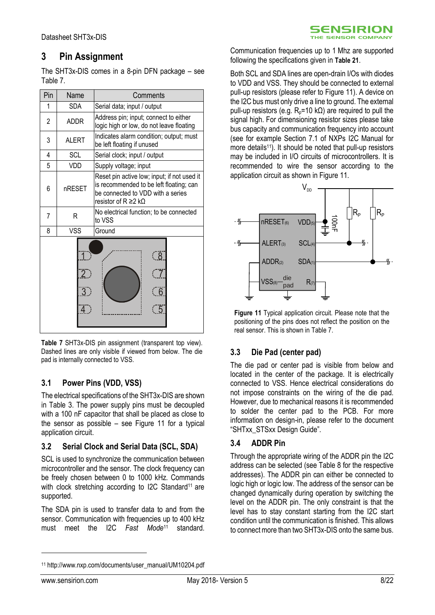### <span id="page-7-0"></span>**3 Pin Assignment**

The SHT3x-DIS comes in a 8-pin DFN package  $-$  see [Table 7.](#page-7-1)

| Pin | Name                             | Comments                                                                                                                                           |
|-----|----------------------------------|----------------------------------------------------------------------------------------------------------------------------------------------------|
| 1   | <b>SDA</b>                       | Serial data; input / output                                                                                                                        |
| 2   | <b>ADDR</b>                      | Address pin; input; connect to either<br>logic high or low, do not leave floating                                                                  |
| 3   | <b>ALERT</b>                     | Indicates alarm condition; output; must<br>be left floating if unused                                                                              |
| 4   | <b>SCL</b>                       | Serial clock; input / output                                                                                                                       |
| 5   | VDD                              | Supply voltage; input                                                                                                                              |
| 6   | nRESET                           | Reset pin active low; input; if not used it<br>is recommended to be left floating; can<br>be connected to VDD with a series<br>resistor of R ≥2 kΩ |
| 7   | R                                | No electrical function; to be connected<br>to VSS                                                                                                  |
| 8   | <b>VSS</b>                       | Ground                                                                                                                                             |
|     | $\overline{2}$<br>$\overline{3}$ | <u>( 8 </u><br>5                                                                                                                                   |

<span id="page-7-1"></span>**Table 7** SHT3x-DIS pin assignment (transparent top view). Dashed lines are only visible if viewed from below. The die pad is internally connected to VSS.

### **3.1 Power Pins (VDD, VSS)**

The electrical specifications of the SHT3x-DIS are shown in [Table 3.](#page-5-2) The power supply pins must be decoupled with a 100 nF capacitor that shall be placed as close to the sensor as possible – see [Figure 11](#page-7-2) for a typical application circuit.

### **3.2 Serial Clock and Serial Data (SCL, SDA)**

SCL is used to synchronize the communication between microcontroller and the sensor. The clock frequency can be freely chosen between 0 to 1000 kHz. Commands with clock stretching according to I2C Standard<sup>11</sup> are supported.

The SDA pin is used to transfer data to and from the sensor. Communication with frequencies up to 400 kHz must meet the I2C *Fast Mode*[11](#page-7-3) standard.

Communication frequencies up to 1 Mhz are supported following the specifications given in **[Table 21](#page-13-0)**.

**SENSIRION** THE SENSOR COMPANY

Both SCL and SDA lines are open-drain I/Os with diodes to VDD and VSS. They should be connected to external pull-up resistors (please refer to [Figure 11\)](#page-7-2). A device on the I2C bus must only drive a line to ground. The external pull-up resistors (e.g. R<sub>p</sub>=10 kΩ) are required to pull the signal high. For dimensioning resistor sizes please take bus capacity and communication frequency into account (see for example Section 7.1 of NXPs I2C Manual for more details<sup>[11](#page-7-3)</sup>). It should be noted that pull-up resistors may be included in I/O circuits of microcontrollers. It is recommended to wire the sensor according to the application circuit as shown in [Figure 11.](#page-7-2)



<span id="page-7-2"></span>**Figure 11** Typical application circuit. Please note that the positioning of the pins does not reflect the position on the real sensor. This is shown i[n Table 7.](#page-7-1)

### **3.3 Die Pad (center pad)**

The die pad or center pad is visible from below and located in the center of the package. It is electrically connected to VSS. Hence electrical considerations do not impose constraints on the wiring of the die pad. However, due to mechanical reasons it is recommended to solder the center pad to the PCB. For more information on design-in, please refer to the document "SHTxx\_STSxx Design Guide".

### **3.4 ADDR Pin**

<span id="page-7-3"></span>Through the appropriate wiring of the ADDR pin the I2C address can be selected (see [Table 8](#page-8-3) for the respective addresses). The ADDR pin can either be connected to logic high or logic low. The address of the sensor can be changed dynamically during operation by switching the level on the ADDR pin. The only constraint is that the level has to stay constant starting from the I2C start condition until the communication is finished. This allows to connect more than two SHT3x-DIS onto the same bus.

-

<sup>11</sup> http://www.nxp.com/documents/user\_manual/UM10204.pdf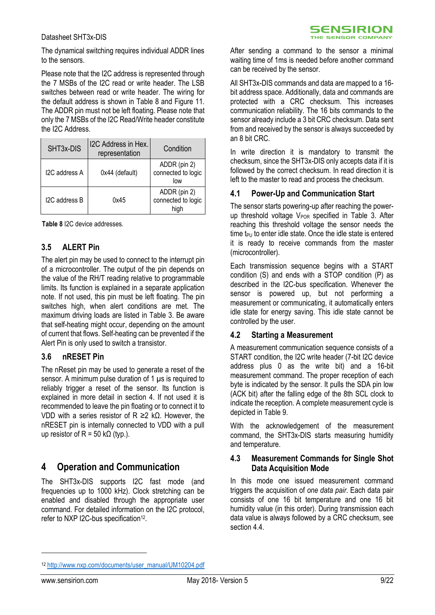The dynamical switching requires individual ADDR lines to the sensors.

Please note that the I2C address is represented through the 7 MSBs of the I2C read or write header. The LSB switches between read or write header. The wiring for the default address is shown in [Table 8](#page-8-3) and [Figure 11.](#page-7-2) The ADDR pin must not be left floating. Please note that only the 7 MSBs of the I2C Read/Write header constitute the I2C Address.

| SHT3x-DIS     | I2C Address in Hex.<br>representation | Condition                                  |
|---------------|---------------------------------------|--------------------------------------------|
| I2C address A | 0x44 (default)                        | ADDR (pin 2)<br>connected to logic<br>low  |
| I2C address B | 0x45                                  | ADDR (pin 2)<br>connected to logic<br>hiah |

<span id="page-8-3"></span>**Table 8** I2C device addresses.

### <span id="page-8-1"></span>**3.5 ALERT Pin**

The alert pin may be used to connect to the interrupt pin of a microcontroller. The output of the pin depends on the value of the RH/T reading relative to programmable limits. Its function is explained in a separate application note. If not used, this pin must be left floating. The pin switches high, when alert conditions are met. The maximum driving loads are listed in [Table 3.](#page-5-2) Be aware that self-heating might occur, depending on the amount of current that flows. Self-heating can be prevented if the Alert Pin is only used to switch a transistor.

### <span id="page-8-2"></span>**3.6 nRESET Pin**

The nReset pin may be used to generate a reset of the sensor. A minimum pulse duration of 1  $\mu$ s is required to reliably trigger a reset of the sensor. Its function is explained in more detail in section [4.](#page-8-0) If not used it is recommended to leave the pin floating or to connect it to VDD with a series resistor of R ≥2 kΩ. However, the nRESET pin is internally connected to VDD with a pull up resistor of R = 50 k $\Omega$  (typ.).

### <span id="page-8-0"></span>**4 Operation and Communication**

The SHT3x-DIS supports I2C fast mode (and frequencies up to 1000 kHz). Clock stretching can be enabled and disabled through the appropriate user command. For detailed information on the I2C protocol, refer to NXP I2C-bus specification<sup>12</sup>.

After sending a command to the sensor a minimal waiting time of 1ms is needed before another command can be received by the sensor.

All SHT3x-DIS commands and data are mapped to a 16 bit address space. Additionally, data and commands are protected with a CRC checksum. This increases communication reliability. The 16 bits commands to the sensor already include a 3 bit CRC checksum. Data sent from and received by the sensor is always succeeded by an 8 bit CRC.

In write direction it is mandatory to transmit the checksum, since the SHT3x-DIS only accepts data if it is followed by the correct checksum. In read direction it is left to the master to read and process the checksum.

#### <span id="page-8-5"></span>**4.1 Power-Up and Communication Start**

The sensor starts powering-up after reaching the powerup threshold voltage  $V_{POR}$  specified in [Table 3.](#page-5-2) After reaching this threshold voltage the sensor needs the time  $t_{PI}$  to enter idle state. Once the idle state is entered it is ready to receive commands from the master (microcontroller).

Each transmission sequence begins with a START condition (S) and ends with a STOP condition (P) as described in the I2C-bus specification. Whenever the sensor is powered up, but not performing a measurement or communicating, it automatically enters idle state for energy saving. This idle state cannot be controlled by the user.

#### **4.2 Starting a Measurement**

A measurement communication sequence consists of a START condition, the I2C write header (7-bit I2C device address plus 0 as the write bit) and a 16-bit measurement command. The proper reception of each byte is indicated by the sensor. It pulls the SDA pin low (ACK bit) after the falling edge of the 8th SCL clock to indicate the reception. A complete measurement cycle is depicted i[n Table 9.](#page-9-0)

With the acknowledgement of the measurement command, the SHT3x-DIS starts measuring humidity and temperature.

### **4.3 Measurement Commands for Single Shot Data Acquisition Mode**

<span id="page-8-4"></span>In this mode one issued measurement command triggers the acquisition of *one data pair*. Each data pair consists of one 16 bit temperature and one 16 bit humidity value (in this order). During transmission each data value is always followed by a CRC checksum, see sectio[n 4.4.](#page-9-1)

-

<sup>12</sup> [http://www.nxp.com/documents/user\\_manual/UM10204.pdf](http://www.nxp.com/documents/user_manual/UM10204.pdf)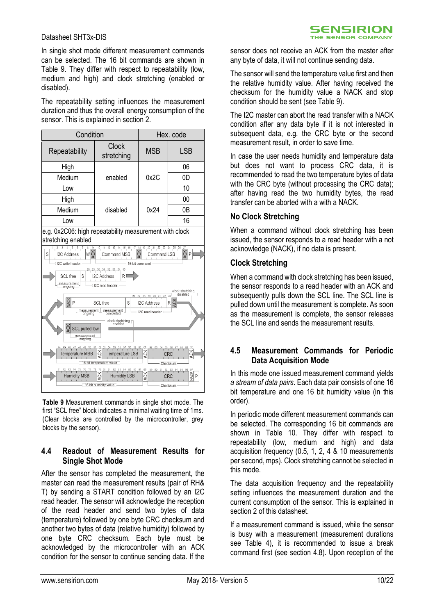In single shot mode different measurement commands can be selected. The 16 bit commands are shown in [Table 9.](#page-9-0) They differ with respect to repeatability (low, medium and high) and clock stretching (enabled or disabled).

The repeatability setting influences the measurement duration and thus the overall energy consumption of the sensor. This is explained in section [2.](#page-5-0)

| Condition     |                            | Hex. code  |            |
|---------------|----------------------------|------------|------------|
| Repeatability | <b>Clock</b><br>stretching | <b>MSB</b> | <b>LSB</b> |
| High          |                            |            | 06         |
| Medium        | enabled                    | 0x2C       | 0D         |
| Low           |                            |            | 10         |
| High          |                            |            | 00         |
| Medium        | disabled                   | 0x24       | 0Β         |
| Low           |                            |            | 16         |

e.g. 0x2C06: high repeatability measurement with clock stretching enabled



<span id="page-9-0"></span>**Table 9** Measurement commands in single shot mode. The first "SCL free" block indicates a minimal waiting time of 1ms. (Clear blocks are controlled by the microcontroller, grey blocks by the sensor).

#### <span id="page-9-1"></span>**4.4 Readout of Measurement Results for Single Shot Mode**

After the sensor has completed the measurement, the master can read the measurement results (pair of RH& T) by sending a START condition followed by an I2C read header. The sensor will acknowledge the reception of the read header and send two bytes of data (temperature) followed by one byte CRC checksum and another two bytes of data (relative humidity) followed by one byte CRC checksum. Each byte must be acknowledged by the microcontroller with an ACK condition for the sensor to continue sending data. If the

sensor does not receive an ACK from the master after any byte of data, it will not continue sending data.

The sensor will send the temperature value first and then the relative humidity value. After having received the checksum for the humidity value a NACK and stop condition should be sent (see [Table 9\)](#page-9-0).

The I2C master can abort the read transfer with a NACK condition after any data byte if it is not interested in subsequent data, e.g. the CRC byte or the second measurement result, in order to save time.

In case the user needs humidity and temperature data but does not want to process CRC data, it is recommended to read the two temperature bytes of data with the CRC byte (without processing the CRC data); after having read the two humidity bytes, the read transfer can be aborted with a with a NACK.

#### **No Clock Stretching**

When a command without clock stretching has been issued, the sensor responds to a read header with a not acknowledge (NACK), if no data is present.

#### **Clock Stretching**

When a command with clock stretching has been issued, the sensor responds to a read header with an ACK and subsequently pulls down the SCL line. The SCL line is pulled down until the measurement is complete. As soon as the measurement is complete, the sensor releases the SCL line and sends the measurement results.

#### <span id="page-9-2"></span>**4.5 Measurement Commands for Periodic Data Acquisition Mode**

In this mode one issued measurement command yields *a stream of data pairs*. Each data pair consists of one 16 bit temperature and one 16 bit humidity value (in this order).

In periodic mode different measurement commands can be selected. The corresponding 16 bit commands are shown in [Table 10.](#page-10-1) They differ with respect to repeatability (low, medium and high) and data acquisition frequency (0.5, 1, 2, 4 & 10 measurements per second, mps). Clock stretching cannot be selected in this mode.

The data acquisition frequency and the repeatability setting influences the measurement duration and the current consumption of the sensor. This is explained in section [2](#page-5-0) of this datasheet.

If a measurement command is issued, while the sensor is busy with a measurement (measurement durations see [Table 4\)](#page-6-1), it is recommended to issue a break command first (see section [4.8\)](#page-10-2). Upon reception of the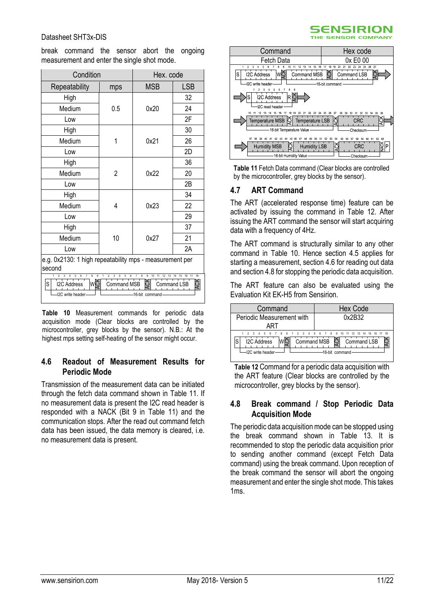break command the sensor abort the ongoing measurement and enter the single shot mode.

| Condition                                                                                                                                                                                                                                              |     | Hex. code  |            |  |
|--------------------------------------------------------------------------------------------------------------------------------------------------------------------------------------------------------------------------------------------------------|-----|------------|------------|--|
| Repeatability                                                                                                                                                                                                                                          | mps | <b>MSB</b> | <b>LSB</b> |  |
| High                                                                                                                                                                                                                                                   |     |            | 32         |  |
| Medium                                                                                                                                                                                                                                                 | 0.5 | 0x20       | 24         |  |
| Low                                                                                                                                                                                                                                                    |     |            | 2F         |  |
| High                                                                                                                                                                                                                                                   |     |            | 30         |  |
| Medium                                                                                                                                                                                                                                                 | 1   | 0x21       | 26         |  |
| Low                                                                                                                                                                                                                                                    |     |            | 2D         |  |
| High                                                                                                                                                                                                                                                   |     |            | 36         |  |
| Medium                                                                                                                                                                                                                                                 | 2   | 0x22       | 20         |  |
| Low                                                                                                                                                                                                                                                    |     |            | 2B         |  |
| High                                                                                                                                                                                                                                                   |     |            | 34         |  |
| Medium                                                                                                                                                                                                                                                 | 4   | 0x23       | 22         |  |
| Low                                                                                                                                                                                                                                                    |     |            | 29         |  |
| High                                                                                                                                                                                                                                                   |     |            | 37         |  |
| Medium                                                                                                                                                                                                                                                 | 10  | 0x27       | 21         |  |
| Low                                                                                                                                                                                                                                                    |     |            | 2A         |  |
| e.g. 0x2130: 1 high repeatability mps - measurement per                                                                                                                                                                                                |     |            |            |  |
| second                                                                                                                                                                                                                                                 |     |            |            |  |
| 8<br>9<br>9<br>5<br>6<br>$\overline{7}$<br>8<br>10<br>18<br>3<br>$\overline{2}$<br>3<br>5<br>6<br>7<br>11<br>12 13<br>16<br>17<br>14<br>15<br>ACK<br>wğ<br>S<br>I2C Address<br><b>Command MSB</b><br>Command LSB<br>I2C write header<br>16-bit command |     |            |            |  |

<span id="page-10-1"></span>**Table 10** Measurement commands for periodic data acquisition mode (Clear blocks are controlled by the microcontroller, grey blocks by the sensor). N.B.: At the highest mps setting self-heating of the sensor might occur.

#### <span id="page-10-5"></span>**4.6 Readout of Measurement Results for Periodic Mode**

Transmission of the measurement data can be initiated through the fetch data command shown in [Table 11.](#page-10-3) If no measurement data is present the I2C read header is responded with a NACK (Bit 9 in [Table 11\)](#page-10-3) and the communication stops. After the read out command fetch data has been issued, the data memory is cleared, i.e. no measurement data is present.



**SENSIRION** THE SENSOR COMPANY

<span id="page-10-3"></span>

#### <span id="page-10-0"></span>**4.7 ART Command**

The ART (accelerated response time) feature can be activated by issuing the command in [Table 12.](#page-10-4) After issuing the ART command the sensor will start acquiring data with a frequency of 4Hz.

The ART command is structurally similar to any other command in [Table 10.](#page-10-1) Hence section [4.5](#page-9-2) applies for starting a measurement, section [4.6](#page-10-5) for reading out data and sectio[n 4.8](#page-10-2) for stopping the periodic data acquisition.

The ART feature can also be evaluated using the Evaluation Kit EK-H5 from Sensirion.



<span id="page-10-4"></span>**Table 12** Command for a periodic data acquisition with the ART feature (Clear blocks are controlled by the microcontroller, grey blocks by the sensor).

#### <span id="page-10-2"></span>**4.8 Break command / Stop Periodic Data Acquisition Mode**

The periodic data acquisition mode can be stopped using the break command shown in [Table 13.](#page-11-0) It is recommended to stop the periodic data acquisition prior to sending another command (except Fetch Data command) using the break command. Upon reception of the break command the sensor will abort the ongoing measurement and enter the single shot mode. This takes 1ms.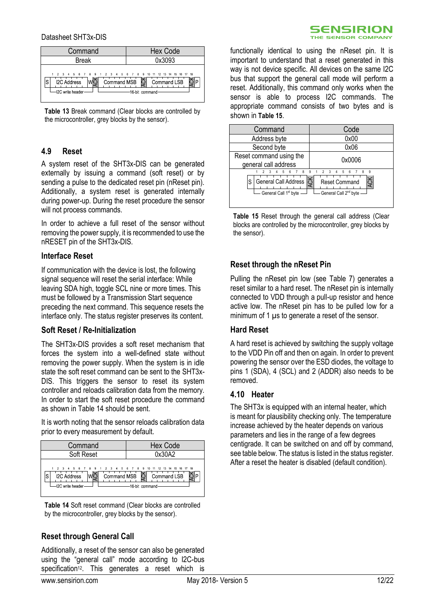| Command                                                                                                                  | <b>Hex Code</b>                 |
|--------------------------------------------------------------------------------------------------------------------------|---------------------------------|
| <b>Break</b>                                                                                                             | 0x3093                          |
| 1 2 3 4 5 6 7 8 9 1 2 3 4 5 6 7 8 9 10 11 12 13 14 15 16 17 18<br>Command MSB<br><b>I2C Address</b><br>-I2C write header | Command LSB<br>-16 bit command- |

<span id="page-11-0"></span>**Table 13** Break command (Clear blocks are controlled by the microcontroller, grey blocks by the sensor).

#### **4.9 Reset**

A system reset of the SHT3x-DIS can be generated externally by issuing a command (soft reset) or by sending a pulse to the dedicated reset pin (nReset pin). Additionally, a system reset is generated internally during power-up. During the reset procedure the sensor will not process commands.

In order to achieve a full reset of the sensor without removing the power supply, it is recommended to use the nRESET pin of the SHT3x-DIS.

#### **Interface Reset**

If communication with the device is lost, the following signal sequence will reset the serial interface: While leaving SDA high, toggle SCL nine or more times. This must be followed by a Transmission Start sequence preceding the next command. This sequence resets the interface only. The status register preserves its content.

#### **Soft Reset / Re-Initialization**

The SHT3x-DIS provides a soft reset mechanism that forces the system into a well-defined state without removing the power supply. When the system is in idle state the soft reset command can be sent to the SHT3x-DIS. This triggers the sensor to reset its system controller and reloads calibration data from the memory. In order to start the soft reset procedure the command as shown in [Table 14](#page-11-1) should be sent.

It is worth noting that the sensor reloads calibration data prior to every measurement by default.

| Command                                                                                                        | <b>Hex Code</b>                               |
|----------------------------------------------------------------------------------------------------------------|-----------------------------------------------|
| Soft Reset                                                                                                     | 0x30A2                                        |
| 1 2 3 4 5 6 7 8 9 1 2 3 4 5 6 7 8 9 10 11 12 13 14 15 16 17 18<br><b>I2C Address</b><br>S<br>-I2C write header | Command MSB S Command LSB<br>-16-bit command- |

<span id="page-11-1"></span>**Table 14** Soft reset command (Clear blocks are controlled by the microcontroller, grey blocks by the sensor).

#### **Reset through General Call**

Additionally, a reset of the sensor can also be generated using the "general call" mode according to I2C-bus specification<sup>[12](#page-8-4)</sup>. This generates a reset which is

functionally identical to using the nReset pin. It is important to understand that a reset generated in this way is not device specific. All devices on the same I2C bus that support the general call mode will perform a reset. Additionally, this command only works when the sensor is able to process I2C commands. The appropriate command consists of two bytes and is shown in **[Table 15](#page-11-2)**.



<span id="page-11-2"></span>**Table 15** Reset through the general call address (Clear blocks are controlled by the microcontroller, grey blocks by the sensor).

#### **Reset through the nReset Pin**

Pulling the nReset pin low (see [Table 7\)](#page-7-1) generates a reset similar to a hard reset. The nReset pin is internally connected to VDD through a pull-up resistor and hence active low. The nReset pin has to be pulled low for a minimum of 1  $\mu$ s to generate a reset of the sensor.

#### **Hard Reset**

A hard reset is achieved by switching the supply voltage to the VDD Pin off and then on again. In order to prevent powering the sensor over the ESD diodes, the voltage to pins 1 (SDA), 4 (SCL) and 2 (ADDR) also needs to be removed.

#### **4.10 Heater**

The SHT3x is equipped with an internal heater, which is meant for plausibility checking only. The temperature increase achieved by the heater depends on various parameters and lies in the range of a few degrees centigrade. It can be switched on and off by command, see table below. The status is listed in the status register. After a reset the heater is disabled (default condition).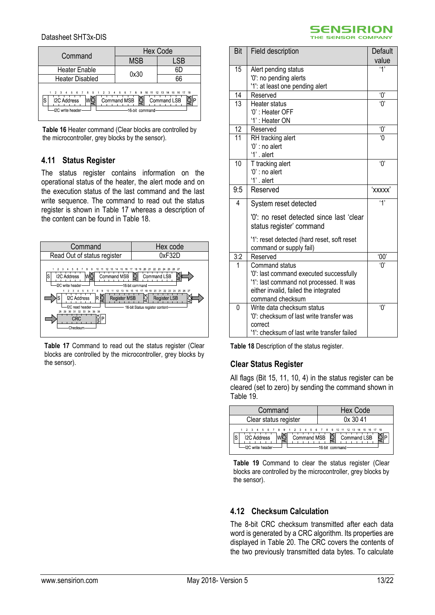| Command                                                                                                        | <b>Hex Code</b>                      |             |  |
|----------------------------------------------------------------------------------------------------------------|--------------------------------------|-------------|--|
|                                                                                                                | <b>MSB</b>                           | LSB         |  |
| <b>Heater Enable</b>                                                                                           | 0x30                                 | 6D          |  |
| <b>Heater Disabled</b>                                                                                         |                                      | 66          |  |
| 1 2 3 4 5 6 7 8 9 1 2 3 4 5 6 7 8 9 10 11 12 13 14 15 16 17 18<br><b>I2C Address</b><br>S<br>-I2C write header | Command MSB<br>đ١<br>-16-bit command | Command LSB |  |

**Table 16** Heater command (Clear blocks are controlled by the microcontroller, grey blocks by the sensor).

#### **4.11 Status Register**

The status register contains information on the operational status of the heater, the alert mode and on the execution status of the last command and the last write sequence. The command to read out the status register is shown in [Table 17](#page-12-0) whereas a description of the content can be found in [Table 18.](#page-12-1)



<span id="page-12-0"></span>**Table 17** Command to read out the status register (Clear blocks are controlled by the microcontroller, grey blocks by the sensor).



| Bit      | Field description                           | Default               |
|----------|---------------------------------------------|-----------------------|
|          |                                             | value                 |
| 15       | Alert pending status                        | 4'                    |
|          | '0': no pending alerts                      |                       |
|          | '1': at least one pending alert             |                       |
| 14       | Reserved                                    | $^{\prime}0^{\prime}$ |
| 13       | Heater status                               | 'n'                   |
|          | '0': Heater OFF                             |                       |
|          | '1': Heater ON                              |                       |
| 12       | Reserved                                    | Ό,                    |
| 11       | RH tracking alert                           | ٬Λ                    |
|          | $0$ ': no alert                             |                       |
|          | '1' . alert                                 |                       |
| 10       | T tracking alert                            | $^{\prime}0^{\prime}$ |
|          | '0' : no alert                              |                       |
|          | '1', alert                                  |                       |
| 9:5      | Reserved                                    | 'xxxxx'               |
| 4        | System reset detected                       | '1'                   |
|          | '0': no reset detected since last 'clear    |                       |
|          | status register' command                    |                       |
|          | '1': reset detected (hard reset, soft reset |                       |
|          | command or supply fail)                     |                       |
| 3:2      | Reserved                                    | 00'                   |
|          | <b>Command status</b>                       | 'n'                   |
|          | '0': last command executed successfully     |                       |
|          | '1': last command not processed. It was     |                       |
|          | either invalid, failed the integrated       |                       |
|          | command checksum                            |                       |
| $\Omega$ | Write data checksum status                  | 'በ'                   |
|          | '0': checksum of last write transfer was    |                       |
|          | correct                                     |                       |
|          | '1': checksum of last write transfer failed |                       |

<span id="page-12-1"></span>**Table 18** Description of the status register.

#### **Clear Status Register**

All flags (Bit 15, 11, 10, 4) in the status register can be cleared (set to zero) by sending the command shown in [Table 19.](#page-12-2)

| Command                                                                                                    | <b>Hex Code</b>                               |
|------------------------------------------------------------------------------------------------------------|-----------------------------------------------|
| Clear status register                                                                                      | 0x3041                                        |
| 1 2 3 4 5 6 7 8 9 1 2 3 4 5 6 7 8 9 10 11 12 13 14 15 16 17 18<br><b>I2C Address</b><br>-12C write header- | Command MSB S Command LSB<br>-16-bit command- |

<span id="page-12-2"></span>Table 19 Command to clear the status register (Clear blocks are controlled by the microcontroller, grey blocks by the sensor).

#### **4.12 Checksum Calculation**

The 8-bit CRC checksum transmitted after each data word is generated by a CRC algorithm. Its properties are displayed in [Table 20.](#page-13-1) The CRC covers the contents of the two previously transmitted data bytes. To calculate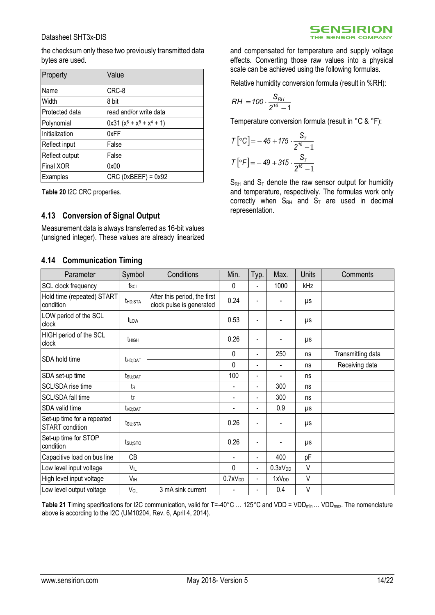

the checksum only these two previously transmitted data bytes are used.

| Property       | Value                     |
|----------------|---------------------------|
| Name           | CRC-8                     |
| Width          | 8 bit                     |
| Protected data | read and/or write data    |
| Polynomial     | $0x31 (x8 + x5 + x4 + 1)$ |
| Initialization | 0xFF                      |
| Reflect input  | False                     |
| Reflect output | False                     |
| Final XOR      | 0x00                      |
| Examples       | $CRC$ (0xBEEF) = 0x92     |

<span id="page-13-1"></span>**Table 20** I2C CRC properties.

### **4.13 Conversion of Signal Output**

Measurement data is always transferred as 16-bit values (unsigned integer). These values are already linearized

#### **4.14 Communication Timing**

and compensated for temperature and supply voltage effects. Converting those raw values into a physical scale can be achieved using the following formulas.

Relative humidity conversion formula (result in %RH):

$$
RH = 100 \cdot \frac{S_{RH}}{2^{16}-1}
$$

Temperature conversion formula (result in °C & °F):

$$
T\left[{}^{0}C\right] = -45 + 175 \cdot \frac{S_{T}}{2^{16} - 1}
$$

$$
T\left[{}^{0}F\right] = -49 + 315 \cdot \frac{S_{T}}{2^{16} - 1}
$$

 $S_{RH}$  and  $S_T$  denote the raw sensor output for humidity and temperature, respectively. The formulas work only correctly when  $S_{RH}$  and  $S_T$  are used in decimal representation.

| Parameter                                            | Symbol              | Conditions                                               | Min.                | Typ.                     | Max.                | Units  | Comments          |
|------------------------------------------------------|---------------------|----------------------------------------------------------|---------------------|--------------------------|---------------------|--------|-------------------|
| SCL clock frequency                                  | $f_{\rm SCL}$       |                                                          | $\Omega$            | $\blacksquare$           | 1000                | kHz    |                   |
| Hold time (repeated) START<br>condition              | t <sub>HD;STA</sub> | After this period, the first<br>clock pulse is generated | 0.24                |                          |                     | μs     |                   |
| LOW period of the SCL<br>clock                       | tLow                |                                                          | 0.53                |                          |                     | μs     |                   |
| HIGH period of the SCL<br>clock                      | t <sub>HIGH</sub>   |                                                          | 0.26                | $\overline{\phantom{0}}$ |                     | μs     |                   |
|                                                      |                     |                                                          | $\mathbf 0$         | $\blacksquare$           | 250                 | ns     | Transmitting data |
| SDA hold time                                        | t <sub>HD:DAT</sub> |                                                          | $\Omega$            | $\blacksquare$           |                     | ns     | Receiving data    |
| SDA set-up time                                      | tsu; dat            |                                                          | 100                 | $\overline{\phantom{0}}$ |                     | ns     |                   |
| SCL/SDA rise time                                    | t <sub>R</sub>      |                                                          | $\blacksquare$      | ٠                        | 300                 | ns     |                   |
| SCL/SDA fall time                                    | tF                  |                                                          | $\blacksquare$      | $\overline{\phantom{0}}$ | 300                 | ns     |                   |
| SDA valid time                                       | t <sub>VD;DAT</sub> |                                                          | $\blacksquare$      | $\blacksquare$           | 0.9                 | μs     |                   |
| Set-up time for a repeated<br><b>START</b> condition | tsu;sta             |                                                          | 0.26                | ٠                        |                     | μs     |                   |
| Set-up time for STOP<br>condition                    | tsu:sto             |                                                          | 0.26                | ٠                        |                     | μs     |                   |
| Capacitive load on bus line                          | CB                  |                                                          |                     | $\blacksquare$           | 400                 | pF     |                   |
| Low level input voltage                              | $V_{IL}$            |                                                          | 0                   | $\blacksquare$           | 0.3xV <sub>DD</sub> | $\vee$ |                   |
| High level input voltage                             | VH                  |                                                          | 0.7xV <sub>DD</sub> | $\blacksquare$           | 1xV <sub>DD</sub>   | $\vee$ |                   |
| Low level output voltage                             | VOL                 | 3 mA sink current                                        |                     | $\blacksquare$           | 0.4                 | $\vee$ |                   |

<span id="page-13-0"></span>**Table 21** Timing specifications for I2C communication, valid for T=-40°C … 125°C and VDD = VDDmin … VDDmax. The nomenclature above is according to the I2C (UM10204, Rev. 6, April 4, 2014).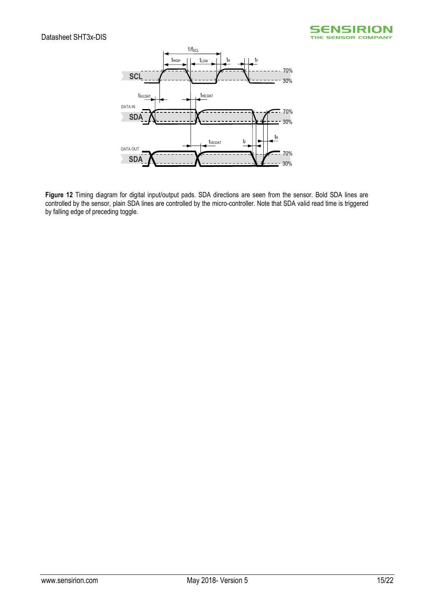



**Figure 12** Timing diagram for digital input/output pads. SDA directions are seen from the sensor. Bold SDA lines are controlled by the sensor, plain SDA lines are controlled by the micro-controller. Note that SDA valid read time is triggered by falling edge of preceding toggle.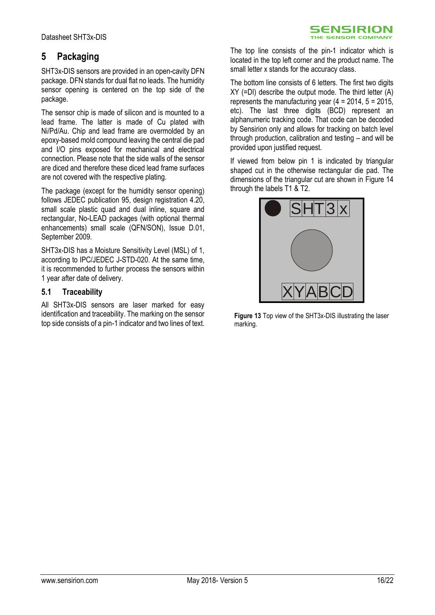<span id="page-15-0"></span>SHT3x-DIS sensors are provided in an open-cavity DFN package. DFN stands for dual flat no leads. The humidity sensor opening is centered on the top side of the package.

The sensor chip is made of silicon and is mounted to a lead frame. The latter is made of Cu plated with Ni/Pd/Au. Chip and lead frame are overmolded by an epoxy-based mold compound leaving the central die pad and I/O pins exposed for mechanical and electrical connection. Please note that the side walls of the sensor are diced and therefore these diced lead frame surfaces are not covered with the respective plating.

The package (except for the humidity sensor opening) follows JEDEC publication 95, design registration 4.20, small scale plastic quad and dual inline, square and rectangular, No-LEAD packages (with optional thermal enhancements) small scale (QFN/SON), Issue D.01, September 2009.

SHT3x-DIS has a Moisture Sensitivity Level (MSL) of 1, according to IPC/JEDEC J-STD-020. At the same time, it is recommended to further process the sensors within 1 year after date of delivery.

### **5.1 Traceability**

All SHT3x-DIS sensors are laser marked for easy identification and traceability. The marking on the sensor top side consists of a pin-1 indicator and two lines of text. The top line consists of the pin-1 indicator which is located in the top left corner and the product name. The small letter x stands for the accuracy class.

**SENSIRION** THE SENSOR COMPANT

The bottom line consists of 6 letters. The first two digits XY (=DI) describe the output mode. The third letter (A) represents the manufacturing year  $(4 = 2014, 5 = 2015)$ , etc). The last three digits (BCD) represent an alphanumeric tracking code. That code can be decoded by Sensirion only and allows for tracking on batch level through production, calibration and testing – and will be provided upon justified request.

If viewed from below pin 1 is indicated by triangular shaped cut in the otherwise rectangular die pad. The dimensions of the triangular cut are shown in [Figure 14](#page-16-0) through the labels T1 & T2.



**Figure 13** Top view of the SHT3x-DIS illustrating the laser marking.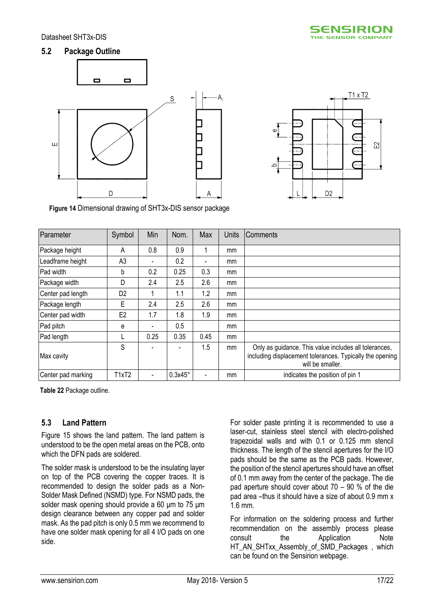#### **5.2 Package Outline**





<span id="page-16-0"></span>**Figure 14** Dimensional drawing of SHT3x-DIS sensor package

| Parameter          | Symbol         | Min                      | Nom.    | Max                          | <b>Units</b> | <b>Comments</b>                                                                                                                       |
|--------------------|----------------|--------------------------|---------|------------------------------|--------------|---------------------------------------------------------------------------------------------------------------------------------------|
| Package height     | A              | 0.8                      | 0.9     | 1                            | mm           |                                                                                                                                       |
| Leadframe height   | A <sub>3</sub> |                          | 0.2     | $\qquad \qquad \blacksquare$ | mm           |                                                                                                                                       |
| Pad width          | b              | 0.2                      | 0.25    | 0.3                          | mm           |                                                                                                                                       |
| Package width      | D              | 2.4                      | 2.5     | 2.6                          | mm           |                                                                                                                                       |
| Center pad length  | D <sub>2</sub> |                          | 1.1     | 1.2                          | mm           |                                                                                                                                       |
| Package length     | Ε              | 2.4                      | 2.5     | 2.6                          | mm           |                                                                                                                                       |
| Center pad width   | E <sub>2</sub> | 1.7                      | 1.8     | 1.9                          | mm           |                                                                                                                                       |
| Pad pitch          | е              |                          | 0.5     |                              | mm           |                                                                                                                                       |
| Pad length         |                | 0.25                     | 0.35    | 0.45                         | mm           |                                                                                                                                       |
| Max cavity         | S              |                          |         | 1.5                          | mm           | Only as guidance. This value includes all tolerances,<br>including displacement tolerances. Typically the opening<br>will be smaller. |
| Center pad marking | T1xT2          | $\overline{\phantom{a}}$ | 0.3x45° | $\qquad \qquad \blacksquare$ | mm           | indicates the position of pin 1                                                                                                       |

<span id="page-16-1"></span>**Table 22** Package outline.

### **5.3 Land Pattern**

[Figure 15](#page-17-1) shows the land pattern. The land pattern is understood to be the open metal areas on the PCB, onto which the DFN pads are soldered.

The solder mask is understood to be the insulating layer on top of the PCB covering the copper traces. It is recommended to design the solder pads as a Non-Solder Mask Defined (NSMD) type. For NSMD pads, the solder mask opening should provide a 60 μm to 75 μm design clearance between any copper pad and solder mask. As the pad pitch is only 0.5 mm we recommend to have one solder mask opening for all 4 I/O pads on one side.

For solder paste printing it is recommended to use a laser-cut, stainless steel stencil with electro-polished trapezoidal walls and with 0.1 or 0.125 mm stencil thickness. The length of the stencil apertures for the I/O pads should be the same as the PCB pads. However, the position of the stencil apertures should have an offset of 0.1 mm away from the center of the package. The die pad aperture should cover about  $70 - 90$  % of the die pad area –thus it should have a size of about 0.9 mm x 1.6 mm.

For information on the soldering process and further recommendation on the assembly process please consult the Application Note HT\_AN\_SHTxx\_Assembly\_of\_SMD\_Packages , which can be found on the Sensirion webpage.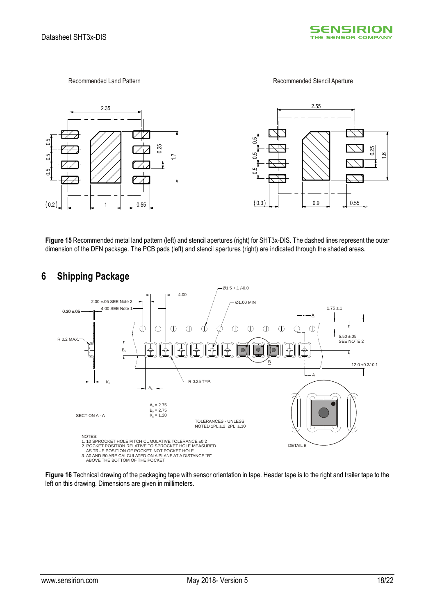

Recommended Land Pattern **Recommended Stencil Aperture** 



<span id="page-17-1"></span>**Figure 15** Recommended metal land pattern (left) and stencil apertures (right) for SHT3x-DIS. The dashed lines represent the outer dimension of the DFN package. The PCB pads (left) and stencil apertures (right) are indicated through the shaded areas.



### <span id="page-17-0"></span>**6 Shipping Package**

**Figure 16** Technical drawing of the packaging tape with sensor orientation in tape. Header tape is to the right and trailer tape to the left on this drawing. Dimensions are given in millimeters.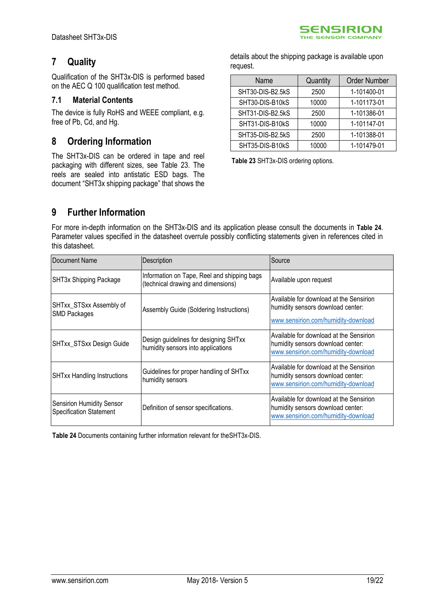## <span id="page-18-0"></span>**7 Quality**

Qualification of the SHT3x-DIS is performed based on the AEC Q 100 qualification test method.

#### **7.1 Material Contents**

The device is fully RoHS and WEEE compliant, e.g. free of Pb, Cd, and Hg.

### <span id="page-18-1"></span>**8 Ordering Information**

The SHT3x-DIS can be ordered in tape and reel packaging with different sizes, see [Table 23.](#page-18-3) The reels are sealed into antistatic ESD bags. The document "SHT3x shipping package" that shows the details about the shipping package is available upon request.

| Name             | Quantity | <b>Order Number</b> |
|------------------|----------|---------------------|
| SHT30-DIS-B2.5kS | 2500     | 1-101400-01         |
| SHT30-DIS-B10kS  | 10000    | 1-101173-01         |
| SHT31-DIS-B2.5kS | 2500     | 1-101386-01         |
| SHT31-DIS-B10kS  | 10000    | 1-101147-01         |
| SHT35-DIS-B2.5kS | 2500     | 1-101388-01         |
| SHT35-DIS-B10kS  | 10000    | 1-101479-01         |

<span id="page-18-3"></span>**Table 23** SHT3x-DIS ordering options.

## <span id="page-18-2"></span>**9 Further Information**

For more in-depth information on the SHT3x-DIS and its application please consult the documents in **[Table 24](#page-18-4)**. Parameter values specified in the datasheet overrule possibly conflicting statements given in references cited in this datasheet.

| Document Name                                                      | Description                                                                       | Source                                                                                                              |
|--------------------------------------------------------------------|-----------------------------------------------------------------------------------|---------------------------------------------------------------------------------------------------------------------|
| SHT3x Shipping Package                                             | Information on Tape, Reel and shipping bags<br>(technical drawing and dimensions) | Available upon request                                                                                              |
| SHTxx_STSxx Assembly of<br><b>SMD Packages</b>                     | Assembly Guide (Soldering Instructions)                                           | Available for download at the Sensirion<br>humidity sensors download center:<br>www.sensirion.com/humidity-download |
| SHTxx_STSxx Design Guide                                           | Design guidelines for designing SHTxx<br>humidity sensors into applications       | Available for download at the Sensirion<br>humidity sensors download center:<br>www.sensirion.com/humidity-download |
| <b>SHTxx Handling Instructions</b>                                 | Guidelines for proper handling of SHTxx<br>humidity sensors                       | Available for download at the Sensirion<br>humidity sensors download center:<br>www.sensirion.com/humidity-download |
| <b>Sensirion Humidity Sensor</b><br><b>Specification Statement</b> | Definition of sensor specifications.                                              | Available for download at the Sensirion<br>humidity sensors download center:<br>www.sensirion.com/humidity-download |

<span id="page-18-4"></span>**Table 24** Documents containing further information relevant for theSHT3x-DIS.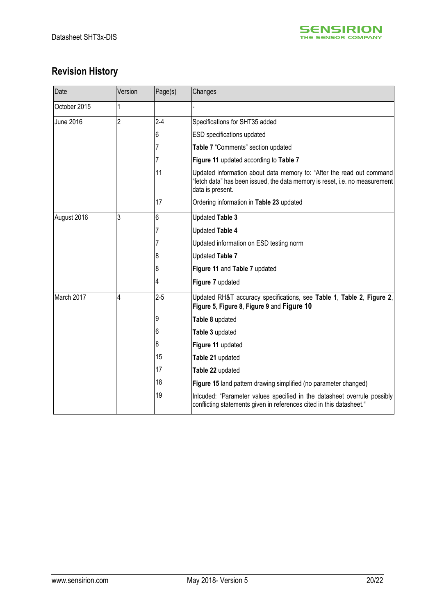

# **Revision History**

| Date             | Version        | Page(s) | Changes                                                                                                                                                                  |
|------------------|----------------|---------|--------------------------------------------------------------------------------------------------------------------------------------------------------------------------|
| October 2015     | 1              |         |                                                                                                                                                                          |
| <b>June 2016</b> | $\overline{2}$ | $2 - 4$ | Specifications for SHT35 added                                                                                                                                           |
|                  |                | 6       | ESD specifications updated                                                                                                                                               |
|                  |                | 7       | Table 7 "Comments" section updated                                                                                                                                       |
|                  |                |         | Figure 11 updated according to Table 7                                                                                                                                   |
|                  |                | 11      | Updated information about data memory to: "After the read out command<br>'fetch data" has been issued, the data memory is reset, i.e. no measurement<br>data is present. |
|                  |                | 17      | Ordering information in Table 23 updated                                                                                                                                 |
| August 2016      | 3              | 6       | <b>Updated Table 3</b>                                                                                                                                                   |
|                  |                |         | <b>Updated Table 4</b>                                                                                                                                                   |
|                  |                | 7       | Updated information on ESD testing norm                                                                                                                                  |
|                  |                | 8       | <b>Updated Table 7</b>                                                                                                                                                   |
|                  |                | 8       | Figure 11 and Table 7 updated                                                                                                                                            |
|                  |                | 4       | Figure 7 updated                                                                                                                                                         |
| March 2017       | 4              | $2 - 5$ | Updated RH&T accuracy specifications, see Table 1, Table 2, Figure 2,<br>Figure 5, Figure 8, Figure 9 and Figure 10                                                      |
|                  |                | 9       | Table 8 updated                                                                                                                                                          |
|                  |                | 6       | Table 3 updated                                                                                                                                                          |
|                  |                | 8       | Figure 11 updated                                                                                                                                                        |
|                  |                | 15      | Table 21 updated                                                                                                                                                         |
|                  |                | 17      | Table 22 updated                                                                                                                                                         |
|                  |                | 18      | Figure 15 land pattern drawing simplified (no parameter changed)                                                                                                         |
|                  |                | 19      | Inlcuded: "Parameter values specified in the datasheet overrule possibly<br>conflicting statements given in references cited in this datasheet."                         |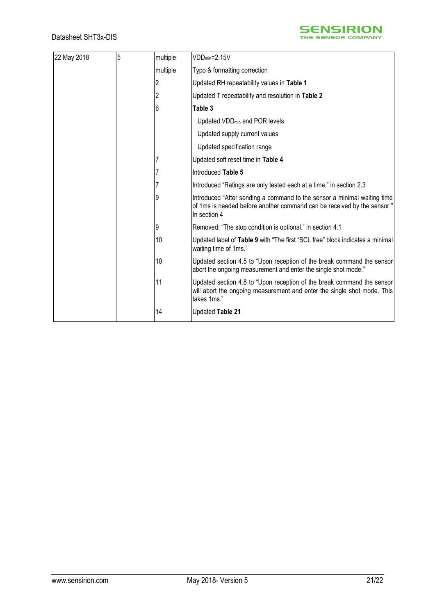

| 22 May 2018 | 5 | multiple | $VDD_{min}=2.15V$                                                                                                                                                   |
|-------------|---|----------|---------------------------------------------------------------------------------------------------------------------------------------------------------------------|
|             |   | multiple | Typo & formatting correction                                                                                                                                        |
|             |   | 2        | Updated RH repeatability values in Table 1                                                                                                                          |
|             |   |          | Updated T repeatability and resolution in Table 2                                                                                                                   |
|             |   | 6        | Table 3                                                                                                                                                             |
|             |   |          | Updated VDD <sub>min</sub> and POR levels                                                                                                                           |
|             |   |          | Updated supply current values                                                                                                                                       |
|             |   |          | Updated specification range                                                                                                                                         |
|             |   |          | Updated soft reset time in Table 4                                                                                                                                  |
|             |   |          | Introduced Table 5                                                                                                                                                  |
|             |   |          | Introduced "Ratings are only tested each at a time." in section 2.3                                                                                                 |
|             |   | 9        | Introduced "After sending a command to the sensor a minimal waiting time<br>of 1ms is needed before another command can be received by the sensor."<br>In section 4 |
|             |   | 9        | Removed: "The stop condition is optional." in section 4.1                                                                                                           |
|             |   | 10       | Updated label of Table 9 with "The first "SCL free" block indicates a minimal<br>waiting time of 1ms."                                                              |
|             |   | 10       | Updated section 4.5 to "Upon reception of the break command the sensor<br>abort the ongoing measurement and enter the single shot mode."                            |
|             |   | 11       | Updated section 4.8 to "Upon reception of the break command the sensor<br>will abort the ongoing measurement and enter the single shot mode. This<br>takes 1ms."    |
|             |   | 14       | Updated Table 21                                                                                                                                                    |